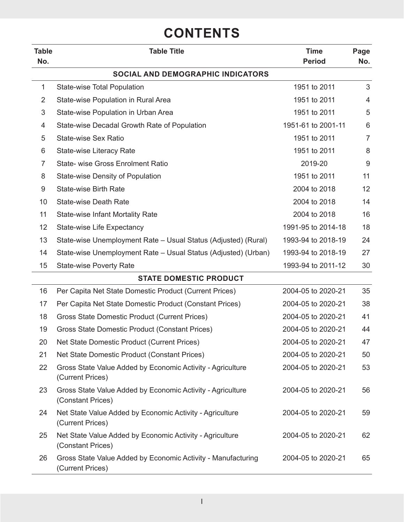## **CONTENTS**

| <b>Table</b><br>No. | <b>Table Title</b>                                                               | <b>Time</b><br><b>Period</b> | Page<br>No.    |
|---------------------|----------------------------------------------------------------------------------|------------------------------|----------------|
|                     | SOCIAL AND DEMOGRAPHIC INDICATORS                                                |                              |                |
| $\mathbf{1}$        | <b>State-wise Total Population</b>                                               | 1951 to 2011                 | 3              |
| $\overline{2}$      | State-wise Population in Rural Area                                              | 1951 to 2011                 | $\overline{4}$ |
| 3                   | State-wise Population in Urban Area                                              | 1951 to 2011                 | 5              |
| 4                   | State-wise Decadal Growth Rate of Population                                     | 1951-61 to 2001-11           | 6              |
| 5                   | State-wise Sex Ratio                                                             | 1951 to 2011                 | $\overline{7}$ |
| 6                   | <b>State-wise Literacy Rate</b>                                                  | 1951 to 2011                 | 8              |
| 7                   | <b>State- wise Gross Enrolment Ratio</b>                                         | 2019-20                      | 9              |
| 8                   | <b>State-wise Density of Population</b>                                          | 1951 to 2011                 | 11             |
| 9                   | <b>State-wise Birth Rate</b>                                                     | 2004 to 2018                 | 12             |
| 10                  | <b>State-wise Death Rate</b>                                                     | 2004 to 2018                 | 14             |
| 11                  | <b>State-wise Infant Mortality Rate</b>                                          | 2004 to 2018                 | 16             |
| 12                  | <b>State-wise Life Expectancy</b>                                                | 1991-95 to 2014-18           | 18             |
| 13                  | State-wise Unemployment Rate - Usual Status (Adjusted) (Rural)                   | 1993-94 to 2018-19           | 24             |
| 14                  | State-wise Unemployment Rate - Usual Status (Adjusted) (Urban)                   | 1993-94 to 2018-19           | 27             |
| 15                  | <b>State-wise Poverty Rate</b>                                                   | 1993-94 to 2011-12           | 30             |
|                     | <b>STATE DOMESTIC PRODUCT</b>                                                    |                              |                |
| 16                  | Per Capita Net State Domestic Product (Current Prices)                           | 2004-05 to 2020-21           | 35             |
| 17                  | Per Capita Net State Domestic Product (Constant Prices)                          | 2004-05 to 2020-21           | 38             |
| 18                  | Gross State Domestic Product (Current Prices)                                    | 2004-05 to 2020-21           | 41             |
| 19                  | Gross State Domestic Product (Constant Prices)                                   | 2004-05 to 2020-21           | 44             |
| 20                  | Net State Domestic Product (Current Prices)                                      | 2004-05 to 2020-21           | 47             |
| 21                  | Net State Domestic Product (Constant Prices)                                     | 2004-05 to 2020-21           | 50             |
| 22                  | Gross State Value Added by Economic Activity - Agriculture<br>(Current Prices)   | 2004-05 to 2020-21           | 53             |
| 23                  | Gross State Value Added by Economic Activity - Agriculture<br>(Constant Prices)  | 2004-05 to 2020-21           | 56             |
| 24                  | Net State Value Added by Economic Activity - Agriculture<br>(Current Prices)     | 2004-05 to 2020-21           | 59             |
| 25                  | Net State Value Added by Economic Activity - Agriculture<br>(Constant Prices)    | 2004-05 to 2020-21           | 62             |
| 26                  | Gross State Value Added by Economic Activity - Manufacturing<br>(Current Prices) | 2004-05 to 2020-21           | 65             |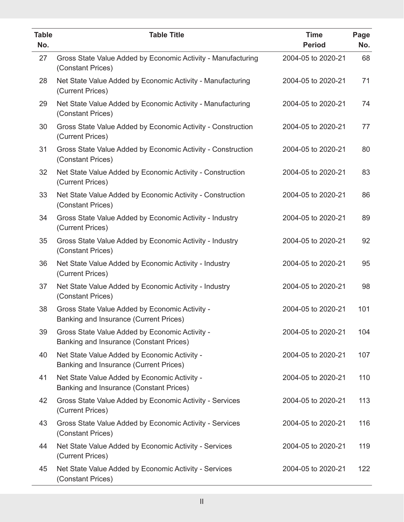| <b>Table</b><br>No. | <b>Table Title</b>                                                                        | <b>Time</b><br><b>Period</b> | Page<br>No. |
|---------------------|-------------------------------------------------------------------------------------------|------------------------------|-------------|
| 27                  | Gross State Value Added by Economic Activity - Manufacturing<br>(Constant Prices)         | 2004-05 to 2020-21           | 68          |
| 28                  | Net State Value Added by Economic Activity - Manufacturing<br>(Current Prices)            | 2004-05 to 2020-21           | 71          |
| 29                  | Net State Value Added by Economic Activity - Manufacturing<br>(Constant Prices)           | 2004-05 to 2020-21           | 74          |
| 30                  | Gross State Value Added by Economic Activity - Construction<br>(Current Prices)           | 2004-05 to 2020-21           | 77          |
| 31                  | Gross State Value Added by Economic Activity - Construction<br>(Constant Prices)          | 2004-05 to 2020-21           | 80          |
| 32                  | Net State Value Added by Economic Activity - Construction<br>(Current Prices)             | 2004-05 to 2020-21           | 83          |
| 33                  | Net State Value Added by Economic Activity - Construction<br>(Constant Prices)            | 2004-05 to 2020-21           | 86          |
| 34                  | Gross State Value Added by Economic Activity - Industry<br>(Current Prices)               | 2004-05 to 2020-21           | 89          |
| 35                  | Gross State Value Added by Economic Activity - Industry<br>(Constant Prices)              | 2004-05 to 2020-21           | 92          |
| 36                  | Net State Value Added by Economic Activity - Industry<br>(Current Prices)                 | 2004-05 to 2020-21           | 95          |
| 37                  | Net State Value Added by Economic Activity - Industry<br>(Constant Prices)                | 2004-05 to 2020-21           | 98          |
| 38                  | Gross State Value Added by Economic Activity -<br>Banking and Insurance (Current Prices)  | 2004-05 to 2020-21           | 101         |
| 39                  | Gross State Value Added by Economic Activity -<br>Banking and Insurance (Constant Prices) | 2004-05 to 2020-21           | 104         |
| 40                  | Net State Value Added by Economic Activity -<br>Banking and Insurance (Current Prices)    | 2004-05 to 2020-21           | 107         |
| 41                  | Net State Value Added by Economic Activity -<br>Banking and Insurance (Constant Prices)   | 2004-05 to 2020-21           | 110         |
| 42                  | Gross State Value Added by Economic Activity - Services<br>(Current Prices)               | 2004-05 to 2020-21           | 113         |
| 43                  | Gross State Value Added by Economic Activity - Services<br>(Constant Prices)              | 2004-05 to 2020-21           | 116         |
| 44                  | Net State Value Added by Economic Activity - Services<br>(Current Prices)                 | 2004-05 to 2020-21           | 119         |
| 45                  | Net State Value Added by Economic Activity - Services<br>(Constant Prices)                | 2004-05 to 2020-21           | 122         |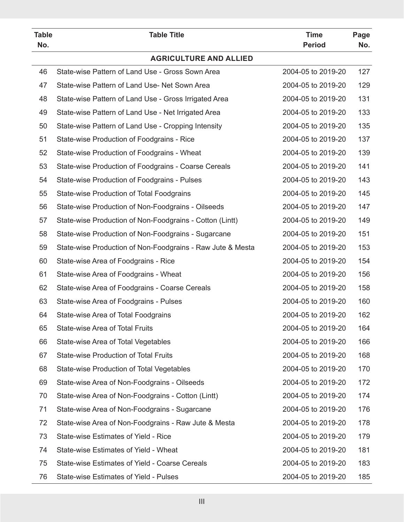| <b>Table</b><br>No. | <b>Table Title</b>                                         | <b>Time</b><br><b>Period</b> | Page<br>No. |
|---------------------|------------------------------------------------------------|------------------------------|-------------|
|                     | <b>AGRICULTURE AND ALLIED</b>                              |                              |             |
| 46                  | State-wise Pattern of Land Use - Gross Sown Area           | 2004-05 to 2019-20           | 127         |
| 47                  | State-wise Pattern of Land Use- Net Sown Area              | 2004-05 to 2019-20           | 129         |
| 48                  | State-wise Pattern of Land Use - Gross Irrigated Area      | 2004-05 to 2019-20           | 131         |
| 49                  | State-wise Pattern of Land Use - Net Irrigated Area        | 2004-05 to 2019-20           | 133         |
| 50                  | State-wise Pattern of Land Use - Cropping Intensity        | 2004-05 to 2019-20           | 135         |
| 51                  | State-wise Production of Foodgrains - Rice                 | 2004-05 to 2019-20           | 137         |
| 52                  | State-wise Production of Foodgrains - Wheat                | 2004-05 to 2019-20           | 139         |
| 53                  | State-wise Production of Foodgrains - Coarse Cereals       | 2004-05 to 2019-20           | 141         |
| 54                  | State-wise Production of Foodgrains - Pulses               | 2004-05 to 2019-20           | 143         |
| 55                  | State-wise Production of Total Foodgrains                  | 2004-05 to 2019-20           | 145         |
| 56                  | State-wise Production of Non-Foodgrains - Oilseeds         | 2004-05 to 2019-20           | 147         |
| 57                  | State-wise Production of Non-Foodgrains - Cotton (Lintt)   | 2004-05 to 2019-20           | 149         |
| 58                  | State-wise Production of Non-Foodgrains - Sugarcane        | 2004-05 to 2019-20           | 151         |
| 59                  | State-wise Production of Non-Foodgrains - Raw Jute & Mesta | 2004-05 to 2019-20           | 153         |
| 60                  | State-wise Area of Foodgrains - Rice                       | 2004-05 to 2019-20           | 154         |
| 61                  | State-wise Area of Foodgrains - Wheat                      | 2004-05 to 2019-20           | 156         |
| 62                  | State-wise Area of Foodgrains - Coarse Cereals             | 2004-05 to 2019-20           | 158         |
| 63                  | State-wise Area of Foodgrains - Pulses                     | 2004-05 to 2019-20           | 160         |
| 64                  | State-wise Area of Total Foodgrains                        | 2004-05 to 2019-20           | 162         |
| 65                  | State-wise Area of Total Fruits                            | 2004-05 to 2019-20           | 164         |
| 66                  | State-wise Area of Total Vegetables                        | 2004-05 to 2019-20           | 166         |
| 67                  | <b>State-wise Production of Total Fruits</b>               | 2004-05 to 2019-20           | 168         |
| 68                  | State-wise Production of Total Vegetables                  | 2004-05 to 2019-20           | 170         |
| 69                  | State-wise Area of Non-Foodgrains - Oilseeds               | 2004-05 to 2019-20           | 172         |
| 70                  | State-wise Area of Non-Foodgrains - Cotton (Lintt)         | 2004-05 to 2019-20           | 174         |
| 71                  | State-wise Area of Non-Foodgrains - Sugarcane              | 2004-05 to 2019-20           | 176         |
| 72                  | State-wise Area of Non-Foodgrains - Raw Jute & Mesta       | 2004-05 to 2019-20           | 178         |
| 73                  | State-wise Estimates of Yield - Rice                       | 2004-05 to 2019-20           | 179         |
| 74                  | State-wise Estimates of Yield - Wheat                      | 2004-05 to 2019-20           | 181         |
| 75                  | State-wise Estimates of Yield - Coarse Cereals             | 2004-05 to 2019-20           | 183         |
| 76                  | State-wise Estimates of Yield - Pulses                     | 2004-05 to 2019-20           | 185         |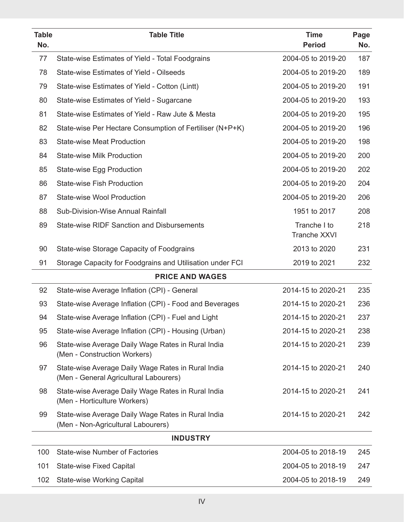| State-wise Estimates of Yield - Total Foodgrains<br>2004-05 to 2019-20<br>187<br>77<br>78<br><b>State-wise Estimates of Yield - Oilseeds</b><br>2004-05 to 2019-20<br>189<br>79<br>2004-05 to 2019-20<br>191<br>State-wise Estimates of Yield - Cotton (Lintt)<br>80<br>State-wise Estimates of Yield - Sugarcane<br>2004-05 to 2019-20<br>193<br>81<br>State-wise Estimates of Yield - Raw Jute & Mesta<br>2004-05 to 2019-20<br>195<br>82<br>State-wise Per Hectare Consumption of Fertiliser (N+P+K)<br>2004-05 to 2019-20<br>196<br>83<br><b>State-wise Meat Production</b><br>2004-05 to 2019-20<br>198<br><b>State-wise Milk Production</b><br>2004-05 to 2019-20<br>200<br>84<br>85<br>2004-05 to 2019-20<br>202<br>State-wise Egg Production<br>86<br><b>State-wise Fish Production</b><br>2004-05 to 2019-20<br>204<br>87<br><b>State-wise Wool Production</b><br>2004-05 to 2019-20<br>206<br>88<br>Sub-Division-Wise Annual Rainfall<br>1951 to 2017<br>208<br>89<br><b>State-wise RIDF Sanction and Disbursements</b><br>Tranche I to<br>218<br><b>Tranche XXVI</b><br>90<br>State-wise Storage Capacity of Foodgrains<br>2013 to 2020<br>231<br>91<br>Storage Capacity for Foodgrains and Utilisation under FCI<br>2019 to 2021<br>232<br><b>PRICE AND WAGES</b><br>2014-15 to 2020-21<br>92<br>State-wise Average Inflation (CPI) - General<br>235<br>93<br>2014-15 to 2020-21<br>236<br>State-wise Average Inflation (CPI) - Food and Beverages<br>237<br>State-wise Average Inflation (CPI) - Fuel and Light<br>2014-15 to 2020-21<br>94<br>95<br>State-wise Average Inflation (CPI) - Housing (Urban)<br>2014-15 to 2020-21<br>238<br>96<br>State-wise Average Daily Wage Rates in Rural India<br>2014-15 to 2020-21<br>239<br>(Men - Construction Workers)<br>97<br>State-wise Average Daily Wage Rates in Rural India<br>2014-15 to 2020-21<br>240<br>(Men - General Agricultural Labourers)<br>98<br>State-wise Average Daily Wage Rates in Rural India<br>2014-15 to 2020-21<br>241<br>(Men - Horticulture Workers)<br>99<br>State-wise Average Daily Wage Rates in Rural India<br>2014-15 to 2020-21<br>242<br>(Men - Non-Agricultural Labourers)<br><b>INDUSTRY</b><br>100<br><b>State-wise Number of Factories</b><br>2004-05 to 2018-19<br>245<br>101<br><b>State-wise Fixed Capital</b><br>2004-05 to 2018-19<br>247<br><b>State-wise Working Capital</b><br>2004-05 to 2018-19<br>249<br>102 | <b>Table</b><br>No. | <b>Table Title</b> | <b>Time</b><br><b>Period</b> | Page<br>No. |
|-------------------------------------------------------------------------------------------------------------------------------------------------------------------------------------------------------------------------------------------------------------------------------------------------------------------------------------------------------------------------------------------------------------------------------------------------------------------------------------------------------------------------------------------------------------------------------------------------------------------------------------------------------------------------------------------------------------------------------------------------------------------------------------------------------------------------------------------------------------------------------------------------------------------------------------------------------------------------------------------------------------------------------------------------------------------------------------------------------------------------------------------------------------------------------------------------------------------------------------------------------------------------------------------------------------------------------------------------------------------------------------------------------------------------------------------------------------------------------------------------------------------------------------------------------------------------------------------------------------------------------------------------------------------------------------------------------------------------------------------------------------------------------------------------------------------------------------------------------------------------------------------------------------------------------------------------------------------------------------------------------------------------------------------------------------------------------------------------------------------------------------------------------------------------------------------------------------------------------------------------------------------------------------------------------------------------------------------------------------------------------------------------------------------------|---------------------|--------------------|------------------------------|-------------|
|                                                                                                                                                                                                                                                                                                                                                                                                                                                                                                                                                                                                                                                                                                                                                                                                                                                                                                                                                                                                                                                                                                                                                                                                                                                                                                                                                                                                                                                                                                                                                                                                                                                                                                                                                                                                                                                                                                                                                                                                                                                                                                                                                                                                                                                                                                                                                                                                                         |                     |                    |                              |             |
|                                                                                                                                                                                                                                                                                                                                                                                                                                                                                                                                                                                                                                                                                                                                                                                                                                                                                                                                                                                                                                                                                                                                                                                                                                                                                                                                                                                                                                                                                                                                                                                                                                                                                                                                                                                                                                                                                                                                                                                                                                                                                                                                                                                                                                                                                                                                                                                                                         |                     |                    |                              |             |
|                                                                                                                                                                                                                                                                                                                                                                                                                                                                                                                                                                                                                                                                                                                                                                                                                                                                                                                                                                                                                                                                                                                                                                                                                                                                                                                                                                                                                                                                                                                                                                                                                                                                                                                                                                                                                                                                                                                                                                                                                                                                                                                                                                                                                                                                                                                                                                                                                         |                     |                    |                              |             |
|                                                                                                                                                                                                                                                                                                                                                                                                                                                                                                                                                                                                                                                                                                                                                                                                                                                                                                                                                                                                                                                                                                                                                                                                                                                                                                                                                                                                                                                                                                                                                                                                                                                                                                                                                                                                                                                                                                                                                                                                                                                                                                                                                                                                                                                                                                                                                                                                                         |                     |                    |                              |             |
|                                                                                                                                                                                                                                                                                                                                                                                                                                                                                                                                                                                                                                                                                                                                                                                                                                                                                                                                                                                                                                                                                                                                                                                                                                                                                                                                                                                                                                                                                                                                                                                                                                                                                                                                                                                                                                                                                                                                                                                                                                                                                                                                                                                                                                                                                                                                                                                                                         |                     |                    |                              |             |
|                                                                                                                                                                                                                                                                                                                                                                                                                                                                                                                                                                                                                                                                                                                                                                                                                                                                                                                                                                                                                                                                                                                                                                                                                                                                                                                                                                                                                                                                                                                                                                                                                                                                                                                                                                                                                                                                                                                                                                                                                                                                                                                                                                                                                                                                                                                                                                                                                         |                     |                    |                              |             |
|                                                                                                                                                                                                                                                                                                                                                                                                                                                                                                                                                                                                                                                                                                                                                                                                                                                                                                                                                                                                                                                                                                                                                                                                                                                                                                                                                                                                                                                                                                                                                                                                                                                                                                                                                                                                                                                                                                                                                                                                                                                                                                                                                                                                                                                                                                                                                                                                                         |                     |                    |                              |             |
|                                                                                                                                                                                                                                                                                                                                                                                                                                                                                                                                                                                                                                                                                                                                                                                                                                                                                                                                                                                                                                                                                                                                                                                                                                                                                                                                                                                                                                                                                                                                                                                                                                                                                                                                                                                                                                                                                                                                                                                                                                                                                                                                                                                                                                                                                                                                                                                                                         |                     |                    |                              |             |
|                                                                                                                                                                                                                                                                                                                                                                                                                                                                                                                                                                                                                                                                                                                                                                                                                                                                                                                                                                                                                                                                                                                                                                                                                                                                                                                                                                                                                                                                                                                                                                                                                                                                                                                                                                                                                                                                                                                                                                                                                                                                                                                                                                                                                                                                                                                                                                                                                         |                     |                    |                              |             |
|                                                                                                                                                                                                                                                                                                                                                                                                                                                                                                                                                                                                                                                                                                                                                                                                                                                                                                                                                                                                                                                                                                                                                                                                                                                                                                                                                                                                                                                                                                                                                                                                                                                                                                                                                                                                                                                                                                                                                                                                                                                                                                                                                                                                                                                                                                                                                                                                                         |                     |                    |                              |             |
|                                                                                                                                                                                                                                                                                                                                                                                                                                                                                                                                                                                                                                                                                                                                                                                                                                                                                                                                                                                                                                                                                                                                                                                                                                                                                                                                                                                                                                                                                                                                                                                                                                                                                                                                                                                                                                                                                                                                                                                                                                                                                                                                                                                                                                                                                                                                                                                                                         |                     |                    |                              |             |
|                                                                                                                                                                                                                                                                                                                                                                                                                                                                                                                                                                                                                                                                                                                                                                                                                                                                                                                                                                                                                                                                                                                                                                                                                                                                                                                                                                                                                                                                                                                                                                                                                                                                                                                                                                                                                                                                                                                                                                                                                                                                                                                                                                                                                                                                                                                                                                                                                         |                     |                    |                              |             |
|                                                                                                                                                                                                                                                                                                                                                                                                                                                                                                                                                                                                                                                                                                                                                                                                                                                                                                                                                                                                                                                                                                                                                                                                                                                                                                                                                                                                                                                                                                                                                                                                                                                                                                                                                                                                                                                                                                                                                                                                                                                                                                                                                                                                                                                                                                                                                                                                                         |                     |                    |                              |             |
|                                                                                                                                                                                                                                                                                                                                                                                                                                                                                                                                                                                                                                                                                                                                                                                                                                                                                                                                                                                                                                                                                                                                                                                                                                                                                                                                                                                                                                                                                                                                                                                                                                                                                                                                                                                                                                                                                                                                                                                                                                                                                                                                                                                                                                                                                                                                                                                                                         |                     |                    |                              |             |
|                                                                                                                                                                                                                                                                                                                                                                                                                                                                                                                                                                                                                                                                                                                                                                                                                                                                                                                                                                                                                                                                                                                                                                                                                                                                                                                                                                                                                                                                                                                                                                                                                                                                                                                                                                                                                                                                                                                                                                                                                                                                                                                                                                                                                                                                                                                                                                                                                         |                     |                    |                              |             |
|                                                                                                                                                                                                                                                                                                                                                                                                                                                                                                                                                                                                                                                                                                                                                                                                                                                                                                                                                                                                                                                                                                                                                                                                                                                                                                                                                                                                                                                                                                                                                                                                                                                                                                                                                                                                                                                                                                                                                                                                                                                                                                                                                                                                                                                                                                                                                                                                                         |                     |                    |                              |             |
|                                                                                                                                                                                                                                                                                                                                                                                                                                                                                                                                                                                                                                                                                                                                                                                                                                                                                                                                                                                                                                                                                                                                                                                                                                                                                                                                                                                                                                                                                                                                                                                                                                                                                                                                                                                                                                                                                                                                                                                                                                                                                                                                                                                                                                                                                                                                                                                                                         |                     |                    |                              |             |
|                                                                                                                                                                                                                                                                                                                                                                                                                                                                                                                                                                                                                                                                                                                                                                                                                                                                                                                                                                                                                                                                                                                                                                                                                                                                                                                                                                                                                                                                                                                                                                                                                                                                                                                                                                                                                                                                                                                                                                                                                                                                                                                                                                                                                                                                                                                                                                                                                         |                     |                    |                              |             |
|                                                                                                                                                                                                                                                                                                                                                                                                                                                                                                                                                                                                                                                                                                                                                                                                                                                                                                                                                                                                                                                                                                                                                                                                                                                                                                                                                                                                                                                                                                                                                                                                                                                                                                                                                                                                                                                                                                                                                                                                                                                                                                                                                                                                                                                                                                                                                                                                                         |                     |                    |                              |             |
|                                                                                                                                                                                                                                                                                                                                                                                                                                                                                                                                                                                                                                                                                                                                                                                                                                                                                                                                                                                                                                                                                                                                                                                                                                                                                                                                                                                                                                                                                                                                                                                                                                                                                                                                                                                                                                                                                                                                                                                                                                                                                                                                                                                                                                                                                                                                                                                                                         |                     |                    |                              |             |
|                                                                                                                                                                                                                                                                                                                                                                                                                                                                                                                                                                                                                                                                                                                                                                                                                                                                                                                                                                                                                                                                                                                                                                                                                                                                                                                                                                                                                                                                                                                                                                                                                                                                                                                                                                                                                                                                                                                                                                                                                                                                                                                                                                                                                                                                                                                                                                                                                         |                     |                    |                              |             |
|                                                                                                                                                                                                                                                                                                                                                                                                                                                                                                                                                                                                                                                                                                                                                                                                                                                                                                                                                                                                                                                                                                                                                                                                                                                                                                                                                                                                                                                                                                                                                                                                                                                                                                                                                                                                                                                                                                                                                                                                                                                                                                                                                                                                                                                                                                                                                                                                                         |                     |                    |                              |             |
|                                                                                                                                                                                                                                                                                                                                                                                                                                                                                                                                                                                                                                                                                                                                                                                                                                                                                                                                                                                                                                                                                                                                                                                                                                                                                                                                                                                                                                                                                                                                                                                                                                                                                                                                                                                                                                                                                                                                                                                                                                                                                                                                                                                                                                                                                                                                                                                                                         |                     |                    |                              |             |
|                                                                                                                                                                                                                                                                                                                                                                                                                                                                                                                                                                                                                                                                                                                                                                                                                                                                                                                                                                                                                                                                                                                                                                                                                                                                                                                                                                                                                                                                                                                                                                                                                                                                                                                                                                                                                                                                                                                                                                                                                                                                                                                                                                                                                                                                                                                                                                                                                         |                     |                    |                              |             |
|                                                                                                                                                                                                                                                                                                                                                                                                                                                                                                                                                                                                                                                                                                                                                                                                                                                                                                                                                                                                                                                                                                                                                                                                                                                                                                                                                                                                                                                                                                                                                                                                                                                                                                                                                                                                                                                                                                                                                                                                                                                                                                                                                                                                                                                                                                                                                                                                                         |                     |                    |                              |             |
|                                                                                                                                                                                                                                                                                                                                                                                                                                                                                                                                                                                                                                                                                                                                                                                                                                                                                                                                                                                                                                                                                                                                                                                                                                                                                                                                                                                                                                                                                                                                                                                                                                                                                                                                                                                                                                                                                                                                                                                                                                                                                                                                                                                                                                                                                                                                                                                                                         |                     |                    |                              |             |
|                                                                                                                                                                                                                                                                                                                                                                                                                                                                                                                                                                                                                                                                                                                                                                                                                                                                                                                                                                                                                                                                                                                                                                                                                                                                                                                                                                                                                                                                                                                                                                                                                                                                                                                                                                                                                                                                                                                                                                                                                                                                                                                                                                                                                                                                                                                                                                                                                         |                     |                    |                              |             |
|                                                                                                                                                                                                                                                                                                                                                                                                                                                                                                                                                                                                                                                                                                                                                                                                                                                                                                                                                                                                                                                                                                                                                                                                                                                                                                                                                                                                                                                                                                                                                                                                                                                                                                                                                                                                                                                                                                                                                                                                                                                                                                                                                                                                                                                                                                                                                                                                                         |                     |                    |                              |             |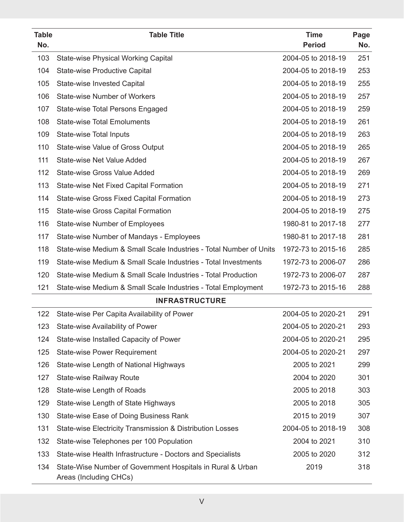| <b>Table</b><br>No. | <b>Table Title</b>                                                                   | <b>Time</b><br><b>Period</b> | Page<br>No. |
|---------------------|--------------------------------------------------------------------------------------|------------------------------|-------------|
| 103                 | <b>State-wise Physical Working Capital</b>                                           | 2004-05 to 2018-19           | 251         |
| 104                 | <b>State-wise Productive Capital</b>                                                 | 2004-05 to 2018-19           | 253         |
| 105                 | <b>State-wise Invested Capital</b>                                                   | 2004-05 to 2018-19           | 255         |
| 106                 | <b>State-wise Number of Workers</b>                                                  | 2004-05 to 2018-19           | 257         |
| 107                 | <b>State-wise Total Persons Engaged</b>                                              | 2004-05 to 2018-19           | 259         |
| 108                 | <b>State-wise Total Emoluments</b>                                                   | 2004-05 to 2018-19           | 261         |
| 109                 | <b>State-wise Total Inputs</b>                                                       | 2004-05 to 2018-19           | 263         |
| 110                 | State-wise Value of Gross Output                                                     | 2004-05 to 2018-19           | 265         |
| 111                 | <b>State-wise Net Value Added</b>                                                    | 2004-05 to 2018-19           | 267         |
| 112                 | <b>State-wise Gross Value Added</b>                                                  | 2004-05 to 2018-19           | 269         |
| 113                 | State-wise Net Fixed Capital Formation                                               | 2004-05 to 2018-19           | 271         |
| 114                 | <b>State-wise Gross Fixed Capital Formation</b>                                      | 2004-05 to 2018-19           | 273         |
| 115                 | <b>State-wise Gross Capital Formation</b>                                            | 2004-05 to 2018-19           | 275         |
| 116                 | <b>State-wise Number of Employees</b>                                                | 1980-81 to 2017-18           | 277         |
| 117                 | State-wise Number of Mandays - Employees                                             | 1980-81 to 2017-18           | 281         |
| 118                 | State-wise Medium & Small Scale Industries - Total Number of Units                   | 1972-73 to 2015-16           | 285         |
| 119                 | State-wise Medium & Small Scale Industries - Total Investments                       | 1972-73 to 2006-07           | 286         |
| 120                 | State-wise Medium & Small Scale Industries - Total Production                        | 1972-73 to 2006-07           | 287         |
| 121                 | State-wise Medium & Small Scale Industries - Total Employment                        | 1972-73 to 2015-16           | 288         |
|                     | <b>INFRASTRUCTURE</b>                                                                |                              |             |
| 122                 | State-wise Per Capita Availability of Power                                          | 2004-05 to 2020-21           | 291         |
| 123                 | State-wise Availability of Power                                                     | 2004-05 to 2020-21           | 293         |
| 124                 | State-wise Installed Capacity of Power                                               | 2004-05 to 2020-21           | 295         |
| 125                 | <b>State-wise Power Requirement</b>                                                  | 2004-05 to 2020-21           | 297         |
| 126                 | State-wise Length of National Highways                                               | 2005 to 2021                 | 299         |
| 127                 | <b>State-wise Railway Route</b>                                                      | 2004 to 2020                 | 301         |
| 128                 | State-wise Length of Roads                                                           | 2005 to 2018                 | 303         |
| 129                 | State-wise Length of State Highways                                                  | 2005 to 2018                 | 305         |
| 130                 | State-wise Ease of Doing Business Rank                                               | 2015 to 2019                 | 307         |
| 131                 | State-wise Electricity Transmission & Distribution Losses                            | 2004-05 to 2018-19           | 308         |
| 132                 | State-wise Telephones per 100 Population                                             | 2004 to 2021                 | 310         |
| 133                 | State-wise Health Infrastructure - Doctors and Specialists                           | 2005 to 2020                 | 312         |
| 134                 | State-Wise Number of Government Hospitals in Rural & Urban<br>Areas (Including CHCs) | 2019                         | 318         |